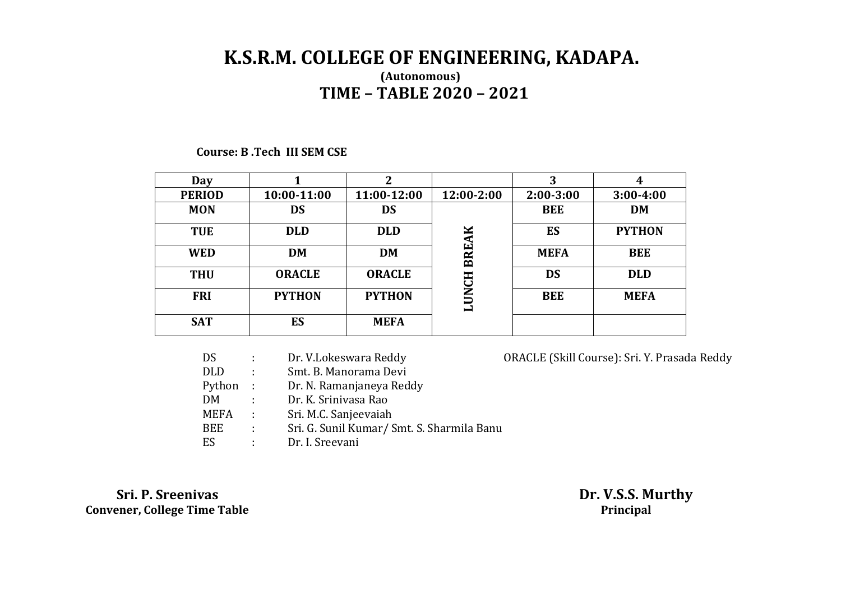# **K.S.R.M. COLLEGE OF ENGINEERING, KADAPA. (Autonomous) TIME – TABLE 2020 – 2021**

### **Course: B .Tech III SEM CSE**

| Day           |               | C             |              | 3           | 4             |
|---------------|---------------|---------------|--------------|-------------|---------------|
| <b>PERIOD</b> | 10:00-11:00   | 11:00-12:00   | 12:00-2:00   | $2:00-3:00$ | $3:00-4:00$   |
| <b>MON</b>    | <b>DS</b>     | <b>DS</b>     |              | <b>BEE</b>  | <b>DM</b>     |
| <b>TUE</b>    | <b>DLD</b>    | <b>DLD</b>    |              | ES          | <b>PYTHON</b> |
| <b>WED</b>    | <b>DM</b>     | <b>DM</b>     | <b>BREAK</b> | <b>MEFA</b> | <b>BEE</b>    |
| <b>THU</b>    | <b>ORACLE</b> | <b>ORACLE</b> |              | <b>DS</b>   | <b>DLD</b>    |
| <b>FRI</b>    | <b>PYTHON</b> | <b>PYTHON</b> | <b>LUNCH</b> | <b>BEE</b>  | <b>MEFA</b>   |
| <b>SAT</b>    | ES            | <b>MEFA</b>   |              |             |               |

| DS          |               | Dr. V.Lokeswara Reddy                      | ORACLE (Skill Course): Sri. Y. Prasada Reddy |
|-------------|---------------|--------------------------------------------|----------------------------------------------|
| <b>DLD</b>  | ÷             | Smt. B. Manorama Devi                      |                                              |
| Python :    |               | Dr. N. Ramanjaneya Reddy                   |                                              |
| DM          | -11           | Dr. K. Sriniyasa Rao                       |                                              |
| <b>MEFA</b> | $\mathcal{L}$ | Sri. M.C. Sanjeevaiah                      |                                              |
| BEE         | ÷.            | Sri. G. Sunil Kumar/ Smt. S. Sharmila Banu |                                              |
| ES          |               | Dr. I. Sreevani                            |                                              |

 **Sri. P. Sreenivas Dr. V.S.S. Murthy Convener, College Time Table Principal**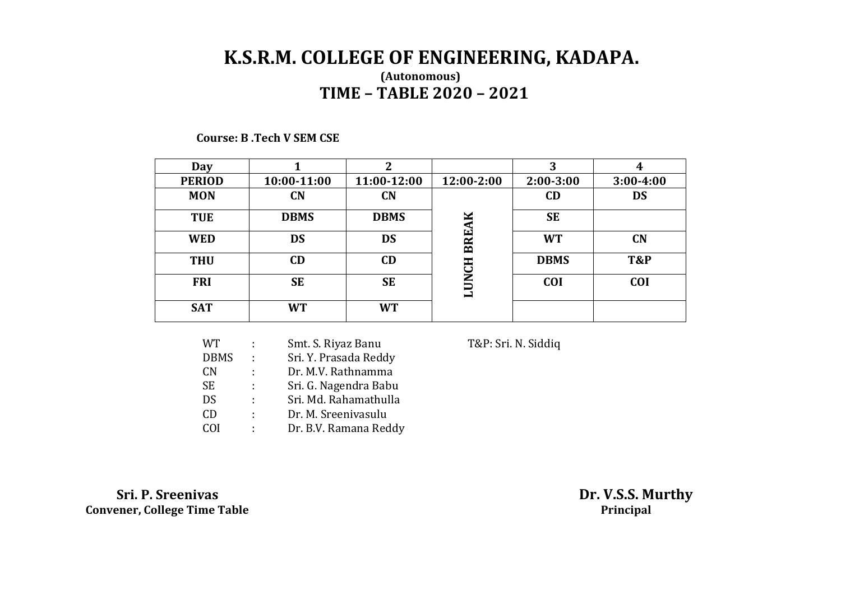# **K.S.R.M. COLLEGE OF ENGINEERING, KADAPA. (Autonomous) TIME – TABLE 2020 – 2021**

**Course: B .Tech V SEM CSE** 

| Day           |             | ∍           |              | 3           | 4              |
|---------------|-------------|-------------|--------------|-------------|----------------|
| <b>PERIOD</b> | 10:00-11:00 | 11:00-12:00 | 12:00-2:00   | $2:00-3:00$ | $3:00-4:00$    |
| <b>MON</b>    | <b>CN</b>   | CN          |              | CD          | <b>DS</b>      |
| <b>TUE</b>    | <b>DBMS</b> | <b>DBMS</b> | ×            | <b>SE</b>   |                |
| <b>WED</b>    | <b>DS</b>   | <b>DS</b>   | <b>BREA</b>  | <b>WT</b>   | <b>CN</b>      |
| <b>THU</b>    | CD          | CD          |              | <b>DBMS</b> | <b>T&amp;P</b> |
| <b>FRI</b>    | <b>SE</b>   | <b>SE</b>   | <b>LUNCH</b> | <b>COI</b>  | <b>COI</b>     |
| <b>SAT</b>    | <b>WT</b>   | <b>WT</b>   |              |             |                |

|   | Smt. S. Riyaz Banu    |
|---|-----------------------|
| t | Sri. Y. Prasada Reddy |
| ÷ | Dr. M.V. Rathnamma    |
| ÷ | Sri. G. Nagendra Babu |
| ÷ | Sri. Md. Rahamathulla |
| ÷ | Dr. M. Sreenivasulu   |
|   | Dr. B.V. Ramana Reddy |
|   |                       |

T&P: Sri. N. Siddiq

 **Sri. P. Sreenivas Dr. V.S.S. Murthy Convener, College Time Table Principal**